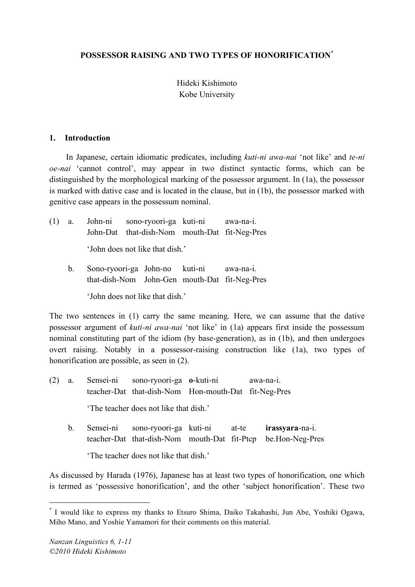# **POSSESSOR RAISING AND TWO TYPES OF HONORIFICATION\***

# Hideki Kishimoto Kobe University

### **1. Introduction**

In Japanese, certain idiomatic predicates, including *kuti-ni awa-nai* 'not like' and *te-ni oe-nai* 'cannot control', may appear in two distinct syntactic forms, which can be distinguished by the morphological marking of the possessor argument. In (1a), the possessor is marked with dative case and is located in the clause, but in (1b), the possessor marked with genitive case appears in the possessum nominal.

|  | (1) a. John-ni sono-ryoori-ga kuti-ni awa-na-i.<br>John-Dat that-dish-Nom mouth-Dat fit-Neg-Pres |  |  |
|--|--------------------------------------------------------------------------------------------------|--|--|
|  | 'John does not like that dish.'                                                                  |  |  |

b. Sono-ryoori-ga John-no kuti-ni awa-na-i. that-dish-Nom John-Gen mouth-Dat fit-Neg-Pres 'John does not like that dish.'

The two sentences in (1) carry the same meaning. Here, we can assume that the dative possessor argument of *kuti-ni awa-nai* 'not like' in (1a) appears first inside the possessum nominal constituting part of the idiom (by base-generation), as in (1b), and then undergoes overt raising. Notably in a possessor-raising construction like (1a), two types of honorification are possible, as seen in (2).

- (2) a. Sensei-ni sono-ryoori-ga **o**-kuti-ni awa-na-i. teacher-Dat that-dish-Nom Hon-mouth-Dat fit-Neg-Pres 'The teacher does not like that dish.'
	- b. Sensei-ni sono-ryoori-ga kuti-ni at-te **irassyara**-na-i. teacher-Dat that-dish-Nom mouth-Dat fit-Ptcp be.Hon-Neg-Pres 'The teacher does not like that dish.'

As discussed by Harada (1976), Japanese has at least two types of honorification, one which is termed as 'possessive honorification', and the other 'subject honorification'. These two

 <sup>\*</sup> <sup>I</sup> would like to express my thanks to Etsuro Shima, Daiko Takahashi, Jun Abe, Yoshiki Ogawa, Miho Mano, and Yoshie Yamamori for their comments on this material.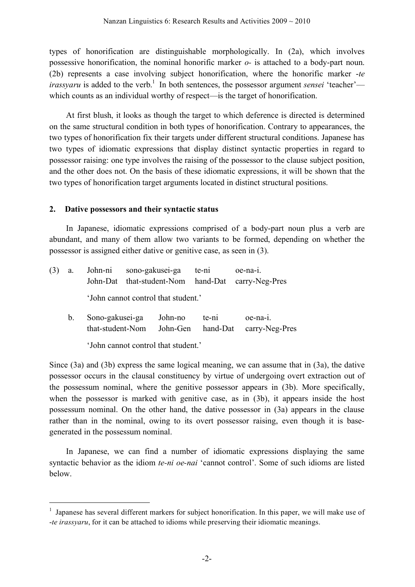types of honorification are distinguishable morphologically. In (2a), which involves possessive honorification, the nominal honorific marker *o-* is attached to a body-part noun. (2b) represents a case involving subject honorification, where the honorific marker -*te irassyaru* is added to the verb.<sup>1</sup> In both sentences, the possessor argument *sensei* 'teacher' which counts as an individual worthy of respect—is the target of honorification.

At first blush, it looks as though the target to which deference is directed is determined on the same structural condition in both types of honorification. Contrary to appearances, the two types of honorification fix their targets under different structural conditions. Japanese has two types of idiomatic expressions that display distinct syntactic properties in regard to possessor raising: one type involves the raising of the possessor to the clause subject position, and the other does not. On the basis of these idiomatic expressions, it will be shown that the two types of honorification target arguments located in distinct structural positions.

## **2. Dative possessors and their syntactic status**

In Japanese, idiomatic expressions comprised of a body-part noun plus a verb are abundant, and many of them allow two variants to be formed, depending on whether the possessor is assigned either dative or genitive case, as seen in (3).

| (3) | a.          | John-ni<br>John-Dat                 |                                     | sono-gakusei-ga<br>that-student-Nom | te-ni             | oe-na-1.<br>hand-Dat carry-Neg-Pres |  |  |
|-----|-------------|-------------------------------------|-------------------------------------|-------------------------------------|-------------------|-------------------------------------|--|--|
|     |             |                                     | 'John cannot control that student.' |                                     |                   |                                     |  |  |
|     | $b_{\cdot}$ | Sono-gakusei-ga<br>that-student-Nom |                                     | John-no<br>John-Gen                 | te-ni<br>hand-Dat | $oe$ -na-1.<br>carry-Neg-Pres       |  |  |
|     |             | 'John cannot control that student.' |                                     |                                     |                   |                                     |  |  |

Since (3a) and (3b) express the same logical meaning, we can assume that in (3a), the dative possessor occurs in the clausal constituency by virtue of undergoing overt extraction out of the possessum nominal, where the genitive possessor appears in (3b). More specifically, when the possessor is marked with genitive case, as in (3b), it appears inside the host possessum nominal. On the other hand, the dative possessor in (3a) appears in the clause rather than in the nominal, owing to its overt possessor raising, even though it is basegenerated in the possessum nominal.

In Japanese, we can find a number of idiomatic expressions displaying the same syntactic behavior as the idiom *te-ni oe-nai* 'cannot control'. Some of such idioms are listed below.

<sup>&</sup>lt;sup>1</sup> Japanese has several different markers for subject honorification. In this paper, we will make use of -*te irassyaru*, for it can be attached to idioms while preserving their idiomatic meanings.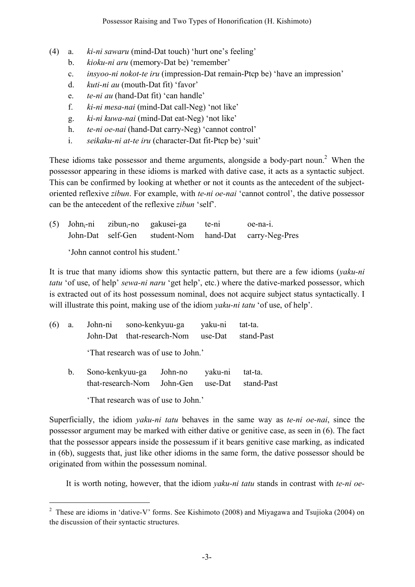- (4) a. *ki-ni sawaru* (mind-Dat touch) 'hurt one's feeling'
	- b. *kioku-ni aru* (memory-Dat be) 'remember'
	- c. *insyoo-ni nokot-te iru* (impression-Dat remain-Ptcp be) 'have an impression'
	- d. *kuti-ni au* (mouth-Dat fit) 'favor'
	- e. *te-ni au* (hand-Dat fit) 'can handle'
	- f. *ki-ni mesa-nai* (mind-Dat call-Neg) 'not like'
	- g. *ki-ni kuwa-nai* (mind-Dat eat-Neg) 'not like'
	- h. *te-ni oe-nai* (hand-Dat carry-Neg) 'cannot control'
	- i. *seikaku-ni at-te iru* (character-Dat fit-Ptcp be) 'suit'

These idioms take possessor and theme arguments, alongside a body-part noun.<sup>2</sup> When the possessor appearing in these idioms is marked with dative case, it acts as a syntactic subject. This can be confirmed by looking at whether or not it counts as the antecedent of the subjectoriented reflexive *zibun*. For example, with *te-ni oe-nai* 'cannot control', the dative possessor can be the antecedent of the reflexive *zibun* 'self'.

|  | (5) John <sub>i</sub> -ni zibun <sub>i</sub> -no gakusei-ga te-ni | oe-na-1.                                              |
|--|-------------------------------------------------------------------|-------------------------------------------------------|
|  |                                                                   | John-Dat self-Gen student-Nom hand-Dat carry-Neg-Pres |
|  |                                                                   |                                                       |

'John cannot control his student.'

It is true that many idioms show this syntactic pattern, but there are a few idioms (*yaku-ni tatu* 'of use, of help' *sewa-ni naru* 'get help', etc.) where the dative-marked possessor, which is extracted out of its host possessum nominal, does not acquire subject status syntactically. I will illustrate this point, making use of the idiom *yaku-ni tatu* 'of use, of help'.

| (6) | a.      |                                     |  | John-ni sono-kenkyuu-ga<br>John-Dat that-research-Nom use-Dat stand-Past | yaku-ni tat-ta. |                       |  |  |
|-----|---------|-------------------------------------|--|--------------------------------------------------------------------------|-----------------|-----------------------|--|--|
|     |         | 'That research was of use to John.' |  |                                                                          |                 |                       |  |  |
|     | $b_{1}$ |                                     |  | Sono-kenkyuu-ga John-no yaku-ni<br>that-research-Nom John-Gen use-Dat    |                 | tat-ta.<br>stand-Past |  |  |

'That research was of use to John.'

Superficially, the idiom *yaku-ni tatu* behaves in the same way as *te-ni oe-nai*, since the possessor argument may be marked with either dative or genitive case, as seen in (6). The fact that the possessor appears inside the possessum if it bears genitive case marking, as indicated in (6b), suggests that, just like other idioms in the same form, the dative possessor should be originated from within the possessum nominal.

It is worth noting, however, that the idiom *yaku-ni tatu* stands in contrast with *te-ni oe-*

<sup>&</sup>lt;sup>2</sup> These are idioms in 'dative-V' forms. See Kishimoto (2008) and Miyagawa and Tsujioka (2004) on the discussion of their syntactic structures.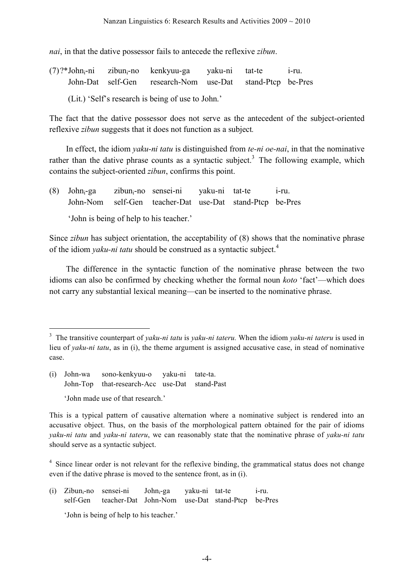*nai*, in that the dative possessor fails to antecede the reflexive *zibun*.

- $(7)$ ?\*John<sub>i</sub>-ni zibun<sub>i</sub>-no kenkyuu-ga yaku-ni tat-te i-ru. John-Dat self-Gen research-Nom use-Dat stand-Ptcp be-Pres
	- (Lit.) 'Self's research is being of use to John.'

The fact that the dative possessor does not serve as the antecedent of the subject-oriented reflexive *zibun* suggests that it does not function as a subject*.*

In effect, the idiom *yaku-ni tatu* is distinguished from *te-ni oe-nai*, in that the nominative rather than the dative phrase counts as a syntactic subject.<sup>3</sup> The following example, which contains the subject-oriented *zibun*, confirms this point.

(8) Johni-ga zibuni-no sensei-ni yaku-ni tat-te i-ru. John-Nom self-Gen teacher-Dat use-Dat stand-Ptcp be-Pres

'John is being of help to his teacher.'

Since *zibun* has subject orientation, the acceptability of (8) shows that the nominative phrase of the idiom *yaku-ni tatu* should be construed as a syntactic subject. 4

The difference in the syntactic function of the nominative phrase between the two idioms can also be confirmed by checking whether the formal noun *koto* 'fact'—which does not carry any substantial lexical meaning—can be inserted to the nominative phrase.

(i) John-wa sono-kenkyuu-o yaku-ni tate-ta. John-Top that-research-Acc use-Dat stand-Past 'John made use of that research.'

(i) Zibuni-no sensei-ni Johni-ga yaku-ni tat-te i-ru. self-Gen teacher-Dat John-Nom use-Dat stand-Ptcp be-Pres

'John is being of help to his teacher.'

 <sup>3</sup> The transitive counterpart of *yaku-ni tatu* is *yaku-ni tateru.* When the idiom *yaku-ni tateru* is used in lieu of *yaku-ni tatu*, as in (i), the theme argument is assigned accusative case, in stead of nominative case.

This is a typical pattern of causative alternation where a nominative subject is rendered into an accusative object. Thus, on the basis of the morphological pattern obtained for the pair of idioms *yaku-ni tatu* and *yaku-ni tateru*, we can reasonably state that the nominative phrase of *yaku-ni tatu* should serve as a syntactic subject.

<sup>&</sup>lt;sup>4</sup> Since linear order is not relevant for the reflexive binding, the grammatical status does not change even if the dative phrase is moved to the sentence front, as in (i).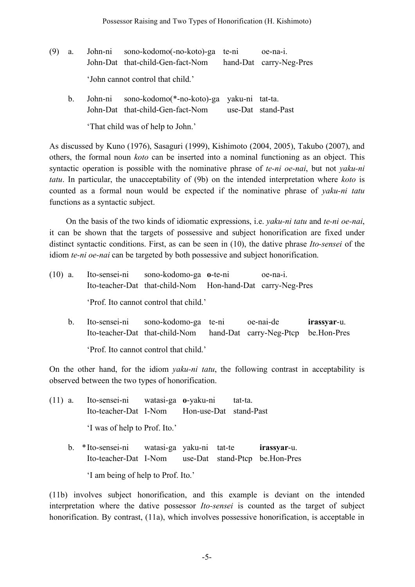- (9) a. John-ni sono-kodomo(-no-koto)-ga te-ni oe-na-i. John-Dat that-child-Gen-fact-Nom hand-Dat carry-Neg-Pres 'John cannot control that child.'
	- b. John-ni sono-kodomo(\*-no-koto)-ga yaku-ni tat-ta. John-Dat that-child-Gen-fact-Nom use-Dat stand-Past

'That child was of help to John.'

As discussed by Kuno (1976), Sasaguri (1999), Kishimoto (2004, 2005), Takubo (2007), and others, the formal noun *koto* can be inserted into a nominal functioning as an object. This syntactic operation is possible with the nominative phrase of *te-ni oe-nai*, but not *yaku-ni tatu*. In particular, the unacceptability of (9b) on the intended interpretation where *koto* is counted as a formal noun would be expected if the nominative phrase of *yaku-ni tatu* functions as a syntactic subject.

On the basis of the two kinds of idiomatic expressions, i.e. *yaku-ni tatu* and *te-ni oe-nai*, it can be shown that the targets of possessive and subject honorification are fixed under distinct syntactic conditions. First, as can be seen in (10), the dative phrase *Ito-sensei* of the idiom *te-ni oe-nai* can be targeted by both possessive and subject honorification.

| $(10)$ a.   | Ito-sensei-ni sono-kodomo-ga o-te-ni                                                         | oe-na-1.<br>Ito-teacher-Dat that-child-Nom Hon-hand-Dat carry-Neg-Pres |           |                            |
|-------------|----------------------------------------------------------------------------------------------|------------------------------------------------------------------------|-----------|----------------------------|
|             | 'Prof. Ito cannot control that child.'                                                       |                                                                        |           |                            |
| $b_{\perp}$ | Ito-sensei-ni sono-kodomo-ga te-ni<br>Ito-teacher-Dat that-child-Nom hand-Dat carry-Neg-Ptcp |                                                                        | oe-nai-de | irassyar-u.<br>be.Hon-Pres |

'Prof. Ito cannot control that child.'

On the other hand, for the idiom *yaku-ni tatu*, the following contrast in acceptability is observed between the two types of honorification.

- (11) a. Ito-sensei-ni watasi-ga **o**-yaku-ni tat-ta. Ito-teacher-Dat I-Nom Hon-use-Dat stand-Past 'I was of help to Prof. Ito.'
	- b. \*Ito-sensei-ni watasi-ga yaku-ni tat-te **irassyar**-u. Ito-teacher-Dat I-Nom use-Dat stand-Ptcp be.Hon-Pres 'I am being of help to Prof. Ito.'

(11b) involves subject honorification, and this example is deviant on the intended interpretation where the dative possessor *Ito-sensei* is counted as the target of subject honorification. By contrast, (11a), which involves possessive honorification, is acceptable in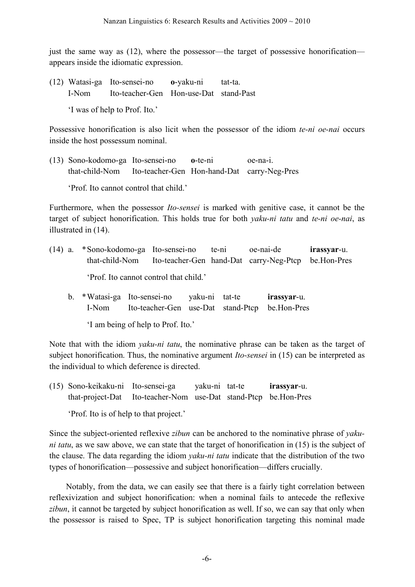just the same way as (12), where the possessor—the target of possessive honorification appears inside the idiomatic expression.

(12) Watasi-ga Ito-sensei-no **o**-yaku-ni tat-ta. I-Nom Ito-teacher-Gen Hon-use-Dat stand-Past

'I was of help to Prof. Ito.'

Possessive honorification is also licit when the possessor of the idiom *te-ni oe-nai* occurs inside the host possessum nominal.

(13) Sono-kodomo-ga Ito-sensei-no **o**-te-ni oe-na-i. that-child-Nom Ito-teacher-Gen Hon-hand-Dat carry-Neg-Pres

'Prof. Ito cannot control that child.'

Furthermore, when the possessor *Ito-sensei* is marked with genitive case, it cannot be the target of subject honorification. This holds true for both *yaku-ni tatu* and *te-ni oe-nai*, as illustrated in (14).

- (14) a. \*Sono-kodomo-ga Ito-sensei-no te-ni oe-nai-de **irassyar**-u. that-child-Nom Ito-teacher-Gen hand-Dat carry-Neg-Ptcp be.Hon-Pres 'Prof. Ito cannot control that child.'
	- b. \*Watasi-ga Ito-sensei-no yaku-ni tat-te **irassyar**-u. I-Nom Ito-teacher-Gen use-Dat stand-Ptcp be.Hon-Pres

'I am being of help to Prof. Ito.'

Note that with the idiom *yaku-ni tatu*, the nominative phrase can be taken as the target of subject honorification. Thus, the nominative argument *Ito-sensei* in (15) can be interpreted as the individual to which deference is directed.

(15) Sono-keikaku-ni Ito-sensei-ga yaku-ni tat-te **irassyar**-u. that-project-Dat Ito-teacher-Nom use-Dat stand-Ptcp be.Hon-Pres

'Prof. Ito is of help to that project.'

Since the subject-oriented reflexive *zibun* can be anchored to the nominative phrase of *yakuni tatu*, as we saw above, we can state that the target of honorification in (15) is the subject of the clause. The data regarding the idiom *yaku-ni tatu* indicate that the distribution of the two types of honorification—possessive and subject honorification—differs crucially.

Notably, from the data, we can easily see that there is a fairly tight correlation between reflexivization and subject honorification: when a nominal fails to antecede the reflexive *zibun*, it cannot be targeted by subject honorification as well. If so, we can say that only when the possessor is raised to Spec, TP is subject honorification targeting this nominal made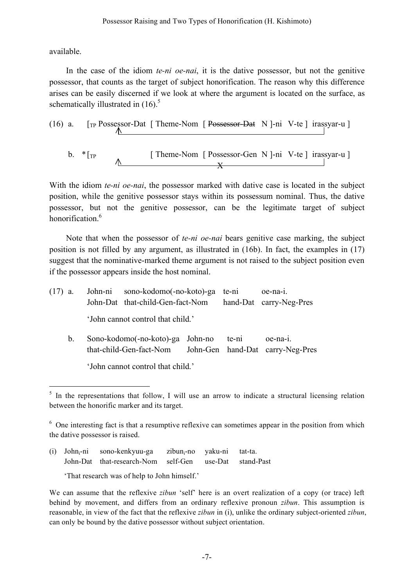available.

In the case of the idiom *te-ni oe-nai*, it is the dative possessor, but not the genitive possessor, that counts as the target of subject honorification. The reason why this difference arises can be easily discerned if we look at where the argument is located on the surface, as schematically illustrated in  $(16)$ .<sup>5</sup>

(16) a. 
$$
\left[\text{TP } \text{Possessor-Dat} \left[\text{Theme-Nom} \left[\text{Possessor-Dat} \left[N\right]-\text{ni} \left[V\text{-te}\right]\text{irassyar-u}\right]\right]
$$
  
b.  $\left[\text{TP } \left[\text{Theme-Nom} \left[\text{Possessor-Gen} \left[N\right]-\text{ni} \left[V\text{-te}\right]\text{irassyar-u}\right]\right]\right]$ 

With the idiom *te-ni oe-nai*, the possessor marked with dative case is located in the subject position, while the genitive possessor stays within its possessum nominal. Thus, the dative possessor, but not the genitive possessor, can be the legitimate target of subject honorification<sup>6</sup>

 $\overline{\mathbf{x}}$ 

Note that when the possessor of *te-ni oe-nai* bears genitive case marking, the subject position is not filled by any argument, as illustrated in (16b). In fact, the examples in (17) suggest that the nominative-marked theme argument is not raised to the subject position even if the possessor appears inside the host nominal.

| $(17)$ a. |                                                             | John-ni sono-kodomo(-no-koto)-ga te-ni |  |       | oe-na-1.                                     |  |
|-----------|-------------------------------------------------------------|----------------------------------------|--|-------|----------------------------------------------|--|
|           |                                                             | John-Dat that-child-Gen-fact-Nom       |  |       | hand-Dat carry-Neg-Pres                      |  |
|           |                                                             | 'John cannot control that child.'      |  |       |                                              |  |
| $b_{-}$   | Sono-kodomo(-no-koto)-ga John-no<br>that-child-Gen-fact-Nom |                                        |  | te-ni | oe-na-1.<br>John-Gen hand-Dat carry-Neg-Pres |  |
|           | 'John cannot control that child.'                           |                                        |  |       |                                              |  |

 $5$  In the representations that follow, I will use an arrow to indicate a structural licensing relation between the honorific marker and its target.

(i) John<sub>i</sub>-ni sono-kenkyuu-ga zibun<sub>i</sub>-no yaku-ni tat-ta. John-Dat that-research-Nom self-Gen use-Dat stand-Past

'That research was of help to John himself.'

 $6\degree$  One interesting fact is that a resumptive reflexive can sometimes appear in the position from which the dative possessor is raised.

We can assume that the reflexive *zibun* 'self' here is an overt realization of a copy (or trace) left behind by movement, and differs from an ordinary reflexive pronoun *zibun*. This assumption is reasonable, in view of the fact that the reflexive *zibun* in (i), unlike the ordinary subject-oriented *zibun*, can only be bound by the dative possessor without subject orientation.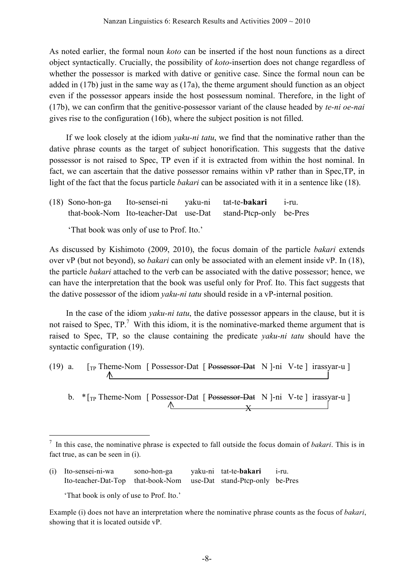As noted earlier, the formal noun *koto* can be inserted if the host noun functions as a direct object syntactically. Crucially, the possibility of *koto*-insertion does not change regardless of whether the possessor is marked with dative or genitive case. Since the formal noun can be added in (17b) just in the same way as (17a), the theme argument should function as an object even if the possessor appears inside the host possessum nominal. Therefore, in the light of (17b), we can confirm that the genitive-possessor variant of the clause headed by *te-ni oe-nai* gives rise to the configuration (16b), where the subject position is not filled.

If we look closely at the idiom *yaku-ni tatu*, we find that the nominative rather than the dative phrase counts as the target of subject honorification. This suggests that the dative possessor is not raised to Spec, TP even if it is extracted from within the host nominal. In fact, we can ascertain that the dative possessor remains within vP rather than in Spec,TP, in light of the fact that the focus particle *bakari* can be associated with it in a sentence like (18).

(18) Sono-hon-ga Ito-sensei-ni yaku-ni tat-te-**bakari** i-ru. that-book-Nom Ito-teacher-Dat use-Dat stand-Ptcp-only be-Pres

'That book was only of use to Prof. Ito.'

As discussed by Kishimoto (2009, 2010), the focus domain of the particle *bakari* extends over vP (but not beyond), so *bakari* can only be associated with an element inside vP. In (18), the particle *bakari* attached to the verb can be associated with the dative possessor; hence, we can have the interpretation that the book was useful only for Prof. Ito. This fact suggests that the dative possessor of the idiom *yaku-ni tatu* should reside in a vP-internal position.

In the case of the idiom *yaku-ni tatu*, the dative possessor appears in the clause, but it is not raised to Spec,  $TP$ .<sup>7</sup> With this idiom, it is the nominative-marked theme argument that is raised to Spec, TP, so the clause containing the predicate *yaku-ni tatu* should have the syntactic configuration (19).

(19) a.  $\lceil \text{TP} \rceil$  Theme-Nom  $\lceil \text{Possessor-Dat} \rceil$  Possessor-Dat N ]-ni V-te  $\lceil \text{irassyar-u} \rceil$ ∧

b. \* [<sub>TP</sub> Theme-Nom [ Possessor-Dat [ Possessor-Dat N ]-ni V-te ] irassyar-u ]  $\wedge$   $\qquad \qquad \mathbf{v}$ 

(i) Ito-sensei-ni-wa sono-hon-ga yaku-ni tat-te-**bakari** i-ru. Ito-teacher-Dat-Top that-book-Nom use-Dat stand-Ptcp-only be-Pres 'That book is only of use to Prof. Ito.'

Example (i) does not have an interpretation where the nominative phrase counts as the focus of *bakari*, showing that it is located outside vP.

 <sup>7</sup> In this case, the nominative phrase is expected to fall outside the focus domain of *bakari*. This is in fact true, as can be seen in (i).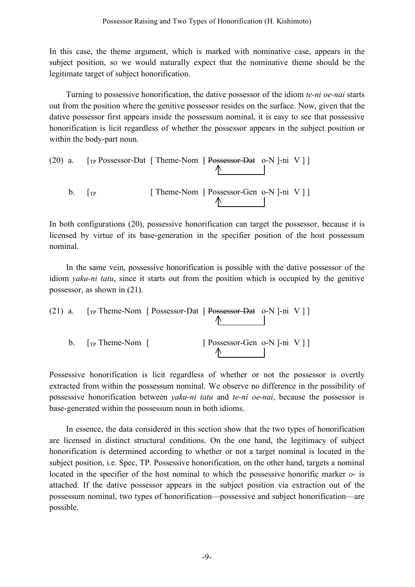In this case, the theme argument, which is marked with nominative case, appears in the subject position, so we would naturally expect that the nominative theme should be the legitimate target of subject honorification.

Turning to possessive honorification, the dative possessor of the idiom *te-ni oe-nai* starts out from the position where the genitive possessor resides on the surface. Now, given that the dative possessor first appears inside the possessum nominal, it is easy to see that possessive honorification is licit regardless of whether the possessor appears in the subject position or within the body-part noun.

(20) a. 
$$
\boxed{\text{TP} \text{Possessor-Dat} \quad [\text{There-Nom} \quad [\text{Possessor-Dat} \quad \text{o-N} \quad ]- \text{ni} \quad \text{V} \quad ]}
$$
  
b.  $\boxed{\text{TP} \quad [\text{There-Nom} \quad [\text{Possessor-Gen} \quad \text{o-N} \quad ]- \text{ni} \quad \text{V} \quad ]}$ 

In both configurations (20), possessive honorification can target the possessor, because it is licensed by virtue of its base-generation in the specifier position of the host possessum nominal.

In the same vein, possessive honorification is possible with the dative possessor of the idiom *yaku-ni tatu*, since it starts out from the position which is occupied by the genitive possessor, as shown in (21).

(21) a. 
$$
[TP \text{ theme-Nom} [Possessor-Dat [Possessor-Dat o-N] - ni V]]
$$
  
b.  $[TP \text{ theme-Nom} [Sosessor-Gen o-N] - ni V]]$ 

Possessive honorification is licit regardless of whether or not the possessor is overtly extracted from within the possessum nominal. We observe no difference in the possibility of possessive honorification between *yaku-ni tatu* and *te-ni oe-nai*, because the possessor is base-generated within the possessum noun in both idioms.

In essence, the data considered in this section show that the two types of honorification are licensed in distinct structural conditions. On the one hand, the legitimacy of subject honorification is determined according to whether or not a target nominal is located in the subject position, i.e. Spec, TP. Possessive honorification, on the other hand, targets a nominal located in the specifier of the host nominal to which the possessive honorific marker *o-* is attached. If the dative possessor appears in the subject position via extraction out of the possessum nominal, two types of honorification—possessive and subject honorification—are possible.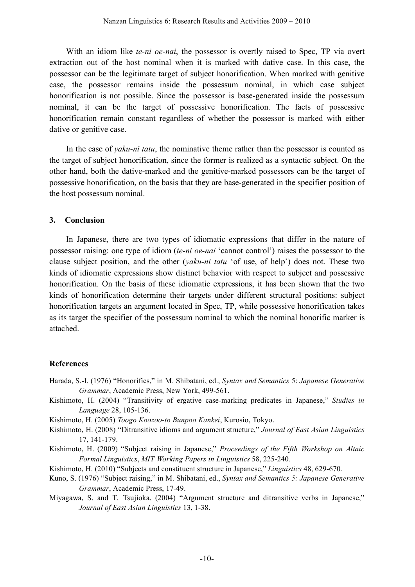With an idiom like *te-ni oe-nai*, the possessor is overtly raised to Spec, TP via overt extraction out of the host nominal when it is marked with dative case. In this case, the possessor can be the legitimate target of subject honorification. When marked with genitive case, the possessor remains inside the possessum nominal, in which case subject honorification is not possible. Since the possessor is base-generated inside the possessum nominal, it can be the target of possessive honorification. The facts of possessive honorification remain constant regardless of whether the possessor is marked with either dative or genitive case.

In the case of *yaku-ni tatu*, the nominative theme rather than the possessor is counted as the target of subject honorification, since the former is realized as a syntactic subject. On the other hand, both the dative-marked and the genitive-marked possessors can be the target of possessive honorification, on the basis that they are base-generated in the specifier position of the host possessum nominal.

#### **3. Conclusion**

In Japanese, there are two types of idiomatic expressions that differ in the nature of possessor raising: one type of idiom (*te-ni oe-nai* 'cannot control') raises the possessor to the clause subject position, and the other (*yaku-ni tatu* 'of use, of help') does not. These two kinds of idiomatic expressions show distinct behavior with respect to subject and possessive honorification. On the basis of these idiomatic expressions, it has been shown that the two kinds of honorification determine their targets under different structural positions: subject honorification targets an argument located in Spec, TP, while possessive honorification takes as its target the specifier of the possessum nominal to which the nominal honorific marker is attached.

#### **References**

- Harada, S.-I. (1976) "Honorifics," in M. Shibatani, ed., *Syntax and Semantics* 5: *Japanese Generative Grammar*, Academic Press, New York, 499-561.
- Kishimoto, H. (2004) "Transitivity of ergative case-marking predicates in Japanese," *Studies in Language* 28, 105-136.
- Kishimoto, H. (2005) *Toogo Koozoo-to Bunpoo Kankei*, Kurosio, Tokyo.
- Kishimoto, H. (2008) "Ditransitive idioms and argument structure," *Journal of East Asian Linguistics* 17, 141-179.

Kishimoto, H. (2009) "Subject raising in Japanese," *Proceedings of the Fifth Workshop on Altaic Formal Linguistics*, *MIT Working Papers in Linguistics* 58, 225-240*.*

- Kishimoto, H. (2010) "Subjects and constituent structure in Japanese," *Linguistics* 48, 629-670*.*
- Kuno, S. (1976) "Subject raising," in M. Shibatani, ed., *Syntax and Semantics 5: Japanese Generative Grammar*, Academic Press, 17-49.
- Miyagawa, S. and T. Tsujioka. (2004) "Argument structure and ditransitive verbs in Japanese," *Journal of East Asian Linguistics* 13, 1-38.